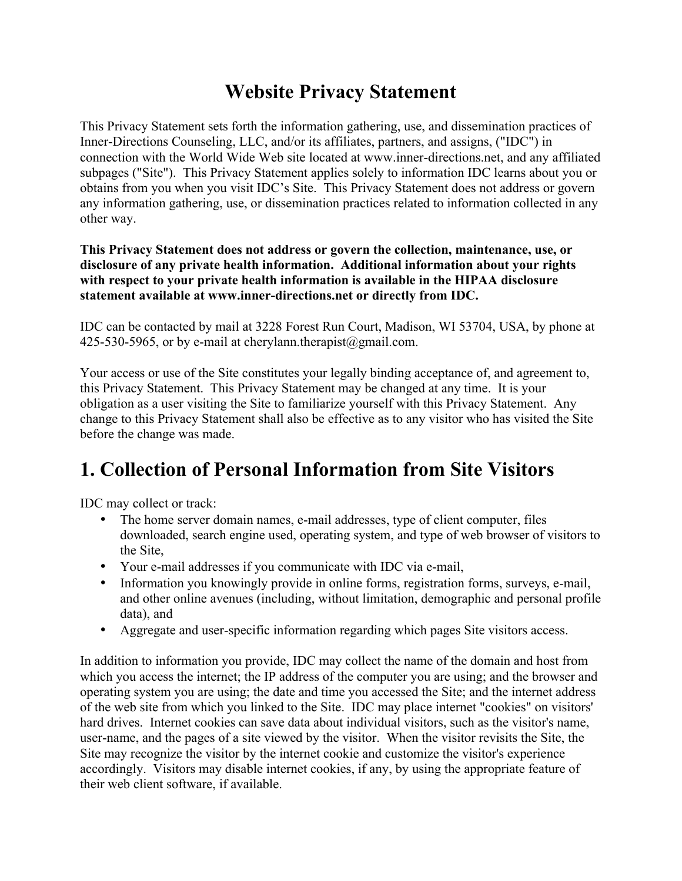### **Website Privacy Statement**

This Privacy Statement sets forth the information gathering, use, and dissemination practices of Inner-Directions Counseling, LLC, and/or its affiliates, partners, and assigns, ("IDC") in connection with the World Wide Web site located at www.inner-directions.net, and any affiliated subpages ("Site"). This Privacy Statement applies solely to information IDC learns about you or obtains from you when you visit IDC's Site. This Privacy Statement does not address or govern any information gathering, use, or dissemination practices related to information collected in any other way.

#### **This Privacy Statement does not address or govern the collection, maintenance, use, or disclosure of any private health information. Additional information about your rights with respect to your private health information is available in the HIPAA disclosure statement available at www.inner-directions.net or directly from IDC.**

IDC can be contacted by mail at 3228 Forest Run Court, Madison, WI 53704, USA, by phone at 425-530-5965, or by e-mail at cherylann.therapist@gmail.com.

Your access or use of the Site constitutes your legally binding acceptance of, and agreement to, this Privacy Statement. This Privacy Statement may be changed at any time. It is your obligation as a user visiting the Site to familiarize yourself with this Privacy Statement. Any change to this Privacy Statement shall also be effective as to any visitor who has visited the Site before the change was made.

### **1. Collection of Personal Information from Site Visitors**

IDC may collect or track:

- The home server domain names, e-mail addresses, type of client computer, files downloaded, search engine used, operating system, and type of web browser of visitors to the Site,
- Your e-mail addresses if you communicate with IDC via e-mail,
- Information you knowingly provide in online forms, registration forms, surveys, e-mail, and other online avenues (including, without limitation, demographic and personal profile data), and
- Aggregate and user-specific information regarding which pages Site visitors access.

In addition to information you provide, IDC may collect the name of the domain and host from which you access the internet; the IP address of the computer you are using; and the browser and operating system you are using; the date and time you accessed the Site; and the internet address of the web site from which you linked to the Site. IDC may place internet "cookies" on visitors' hard drives. Internet cookies can save data about individual visitors, such as the visitor's name, user-name, and the pages of a site viewed by the visitor. When the visitor revisits the Site, the Site may recognize the visitor by the internet cookie and customize the visitor's experience accordingly. Visitors may disable internet cookies, if any, by using the appropriate feature of their web client software, if available.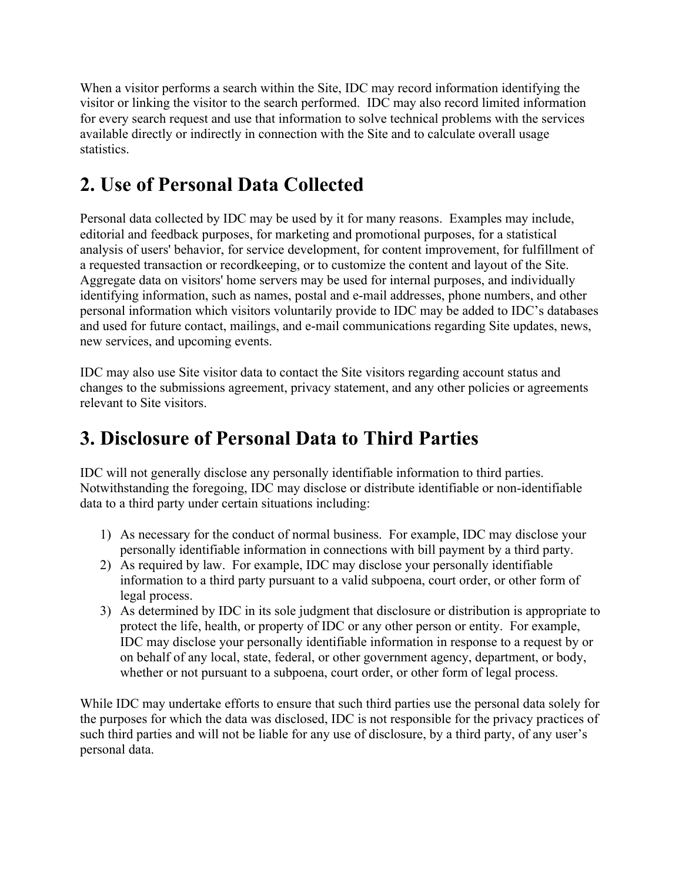When a visitor performs a search within the Site, IDC may record information identifying the visitor or linking the visitor to the search performed. IDC may also record limited information for every search request and use that information to solve technical problems with the services available directly or indirectly in connection with the Site and to calculate overall usage statistics.

# **2. Use of Personal Data Collected**

Personal data collected by IDC may be used by it for many reasons. Examples may include, editorial and feedback purposes, for marketing and promotional purposes, for a statistical analysis of users' behavior, for service development, for content improvement, for fulfillment of a requested transaction or recordkeeping, or to customize the content and layout of the Site. Aggregate data on visitors' home servers may be used for internal purposes, and individually identifying information, such as names, postal and e-mail addresses, phone numbers, and other personal information which visitors voluntarily provide to IDC may be added to IDC's databases and used for future contact, mailings, and e-mail communications regarding Site updates, news, new services, and upcoming events.

IDC may also use Site visitor data to contact the Site visitors regarding account status and changes to the submissions agreement, privacy statement, and any other policies or agreements relevant to Site visitors.

### **3. Disclosure of Personal Data to Third Parties**

IDC will not generally disclose any personally identifiable information to third parties. Notwithstanding the foregoing, IDC may disclose or distribute identifiable or non-identifiable data to a third party under certain situations including:

- 1) As necessary for the conduct of normal business. For example, IDC may disclose your personally identifiable information in connections with bill payment by a third party.
- 2) As required by law. For example, IDC may disclose your personally identifiable information to a third party pursuant to a valid subpoena, court order, or other form of legal process.
- 3) As determined by IDC in its sole judgment that disclosure or distribution is appropriate to protect the life, health, or property of IDC or any other person or entity. For example, IDC may disclose your personally identifiable information in response to a request by or on behalf of any local, state, federal, or other government agency, department, or body, whether or not pursuant to a subpoena, court order, or other form of legal process.

While IDC may undertake efforts to ensure that such third parties use the personal data solely for the purposes for which the data was disclosed, IDC is not responsible for the privacy practices of such third parties and will not be liable for any use of disclosure, by a third party, of any user's personal data.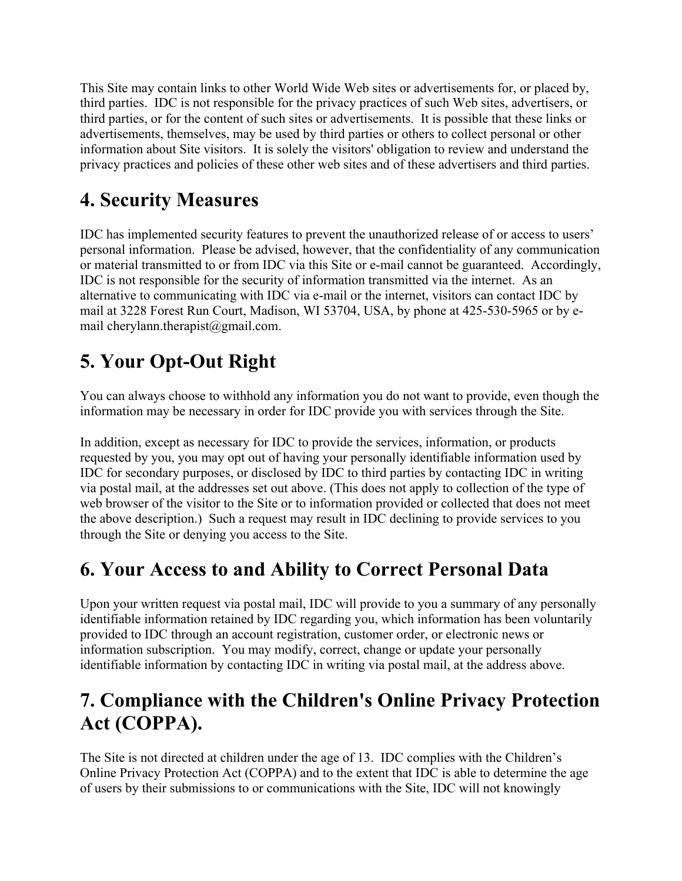This Site may contain links to other World Wide Web sites or advertisements for, or placed by, third parties. IDC is not responsible for the privacy practices of such Web sites, advertisers, or third parties, or for the content of such sites or advertisements. It is possible that these links or advertisements, themselves, may be used by third parties or others to collect personal or other information about Site visitors. It is solely the visitors' obligation to review and understand the privacy practices and policies of these other web sites and of these advertisers and third parties.

# **4. Security Measures**

IDC has implemented security features to prevent the unauthorized release of or access to users' personal information. Please be advised, however, that the confidentiality of any communication or material transmitted to or from IDC via this Site or e-mail cannot be guaranteed. Accordingly, IDC is not responsible for the security of information transmitted via the internet. As an alternative to communicating with IDC via e-mail or the internet, visitors can contact IDC by mail at 3228 Forest Run Court, Madison, WI 53704, USA, by phone at 425-530-5965 or by email cherylann.therapist@gmail.com.

# **5. Your Opt-Out Right**

You can always choose to withhold any information you do not want to provide, even though the information may be necessary in order for IDC provide you with services through the Site.

In addition, except as necessary for IDC to provide the services, information, or products requested by you, you may opt out of having your personally identifiable information used by IDC for secondary purposes, or disclosed by IDC to third parties by contacting IDC in writing via postal mail, at the addresses set out above. (This does not apply to collection of the type of web browser of the visitor to the Site or to information provided or collected that does not meet the above description.) Such a request may result in IDC declining to provide services to you through the Site or denying you access to the Site.

# **6. Your Access to and Ability to Correct Personal Data**

Upon your written request via postal mail, IDC will provide to you a summary of any personally identifiable information retained by IDC regarding you, which information has been voluntarily provided to IDC through an account registration, customer order, or electronic news or information subscription. You may modify, correct, change or update your personally identifiable information by contacting IDC in writing via postal mail, at the address above.

# **7. Compliance with the Children's Online Privacy Protection Act (COPPA).**

The Site is not directed at children under the age of 13. IDC complies with the Children's Online Privacy Protection Act (COPPA) and to the extent that IDC is able to determine the age of users by their submissions to or communications with the Site, IDC will not knowingly